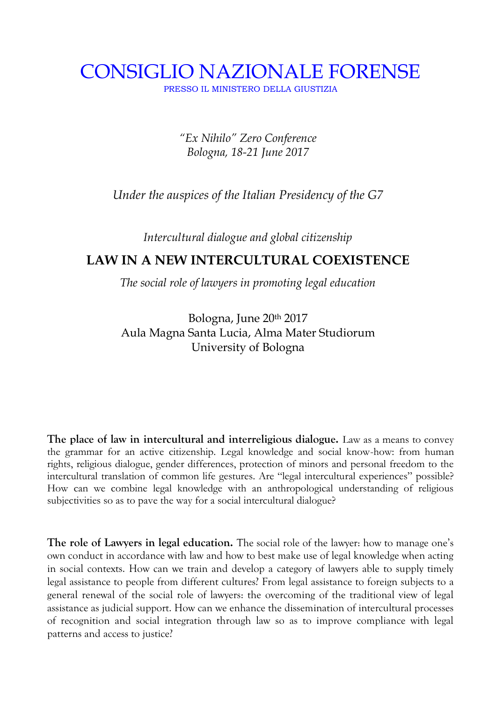CONSIGLIO NAZIONALE FORENSE

PRESSO IL MINISTERO DELLA GIUSTIZIA

*"Ex Nihilo" Zero Conference Bologna, 18-21 June 2017*

*Under the auspices of the Italian Presidency of the G7*

*Intercultural dialogue and global citizenship*

## **LAW IN A NEW INTERCULTURAL COEXISTENCE**

*The social role of lawyers in promoting legal education*

Bologna, June 20th 2017 Aula Magna Santa Lucia, Alma Mater Studiorum University of Bologna

**The place of law in intercultural and interreligious dialogue.** Law as a means to convey the grammar for an active citizenship. Legal knowledge and social know-how: from human rights, religious dialogue, gender differences, protection of minors and personal freedom to the intercultural translation of common life gestures. Are "legal intercultural experiences" possible? How can we combine legal knowledge with an anthropological understanding of religious subjectivities so as to pave the way for a social intercultural dialogue?

**The role of Lawyers in legal education.** The social role of the lawyer: how to manage one's own conduct in accordance with law and how to best make use of legal knowledge when acting in social contexts. How can we train and develop a category of lawyers able to supply timely legal assistance to people from different cultures? From legal assistance to foreign subjects to a general renewal of the social role of lawyers: the overcoming of the traditional view of legal assistance as judicial support. How can we enhance the dissemination of intercultural processes of recognition and social integration through law so as to improve compliance with legal patterns and access to justice?